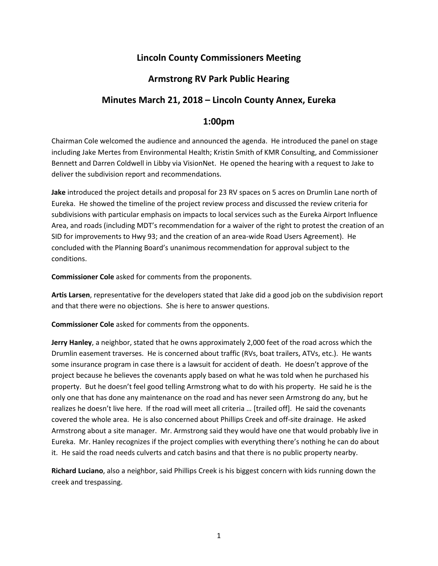# **Lincoln County Commissioners Meeting**

## **Armstrong RV Park Public Hearing**

## **Minutes March 21, 2018 – Lincoln County Annex, Eureka**

#### **1:00pm**

Chairman Cole welcomed the audience and announced the agenda. He introduced the panel on stage including Jake Mertes from Environmental Health; Kristin Smith of KMR Consulting, and Commissioner Bennett and Darren Coldwell in Libby via VisionNet. He opened the hearing with a request to Jake to deliver the subdivision report and recommendations.

**Jake** introduced the project details and proposal for 23 RV spaces on 5 acres on Drumlin Lane north of Eureka. He showed the timeline of the project review process and discussed the review criteria for subdivisions with particular emphasis on impacts to local services such as the Eureka Airport Influence Area, and roads (including MDT's recommendation for a waiver of the right to protest the creation of an SID for improvements to Hwy 93; and the creation of an area-wide Road Users Agreement). He concluded with the Planning Board's unanimous recommendation for approval subject to the conditions.

**Commissioner Cole** asked for comments from the proponents.

**Artis Larsen**, representative for the developers stated that Jake did a good job on the subdivision report and that there were no objections. She is here to answer questions.

**Commissioner Cole** asked for comments from the opponents.

**Jerry Hanley**, a neighbor, stated that he owns approximately 2,000 feet of the road across which the Drumlin easement traverses. He is concerned about traffic (RVs, boat trailers, ATVs, etc.). He wants some insurance program in case there is a lawsuit for accident of death. He doesn't approve of the project because he believes the covenants apply based on what he was told when he purchased his property. But he doesn't feel good telling Armstrong what to do with his property. He said he is the only one that has done any maintenance on the road and has never seen Armstrong do any, but he realizes he doesn't live here. If the road will meet all criteria … [trailed off]. He said the covenants covered the whole area. He is also concerned about Phillips Creek and off-site drainage. He asked Armstrong about a site manager. Mr. Armstrong said they would have one that would probably live in Eureka. Mr. Hanley recognizes if the project complies with everything there's nothing he can do about it. He said the road needs culverts and catch basins and that there is no public property nearby.

**Richard Luciano**, also a neighbor, said Phillips Creek is his biggest concern with kids running down the creek and trespassing.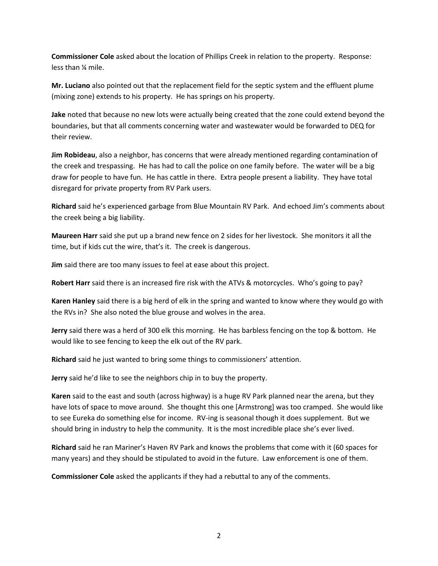**Commissioner Cole** asked about the location of Phillips Creek in relation to the property. Response: less than ¼ mile.

**Mr. Luciano** also pointed out that the replacement field for the septic system and the effluent plume (mixing zone) extends to his property. He has springs on his property.

**Jake** noted that because no new lots were actually being created that the zone could extend beyond the boundaries, but that all comments concerning water and wastewater would be forwarded to DEQ for their review.

**Jim Robideau**, also a neighbor, has concerns that were already mentioned regarding contamination of the creek and trespassing. He has had to call the police on one family before. The water will be a big draw for people to have fun. He has cattle in there. Extra people present a liability. They have total disregard for private property from RV Park users.

**Richard** said he's experienced garbage from Blue Mountain RV Park. And echoed Jim's comments about the creek being a big liability.

**Maureen Harr** said she put up a brand new fence on 2 sides for her livestock. She monitors it all the time, but if kids cut the wire, that's it. The creek is dangerous.

**Jim** said there are too many issues to feel at ease about this project.

**Robert Harr** said there is an increased fire risk with the ATVs & motorcycles. Who's going to pay?

**Karen Hanley** said there is a big herd of elk in the spring and wanted to know where they would go with the RVs in? She also noted the blue grouse and wolves in the area.

**Jerry** said there was a herd of 300 elk this morning. He has barbless fencing on the top & bottom. He would like to see fencing to keep the elk out of the RV park.

**Richard** said he just wanted to bring some things to commissioners' attention.

**Jerry** said he'd like to see the neighbors chip in to buy the property.

**Karen** said to the east and south (across highway) is a huge RV Park planned near the arena, but they have lots of space to move around. She thought this one [Armstrong] was too cramped. She would like to see Eureka do something else for income. RV-ing is seasonal though it does supplement. But we should bring in industry to help the community. It is the most incredible place she's ever lived.

**Richard** said he ran Mariner's Haven RV Park and knows the problems that come with it (60 spaces for many years) and they should be stipulated to avoid in the future. Law enforcement is one of them.

**Commissioner Cole** asked the applicants if they had a rebuttal to any of the comments.